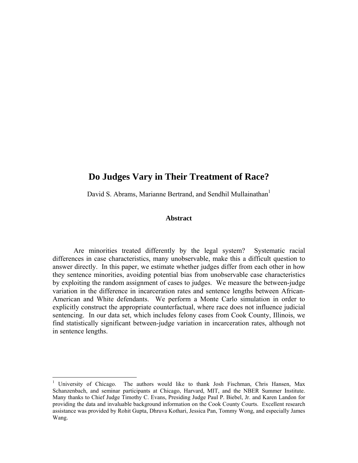## **Do Judges Vary in Their Treatment of Race?**

David S. Abrams, Marianne Bertrand, and Sendhil Mullainathan<sup>1</sup>

## **Abstract**

Are minorities treated differently by the legal system? Systematic racial differences in case characteristics, many unobservable, make this a difficult question to answer directly. In this paper, we estimate whether judges differ from each other in how they sentence minorities, avoiding potential bias from unobservable case characteristics by exploiting the random assignment of cases to judges. We measure the between-judge variation in the difference in incarceration rates and sentence lengths between African-American and White defendants. We perform a Monte Carlo simulation in order to explicitly construct the appropriate counterfactual, where race does not influence judicial sentencing. In our data set, which includes felony cases from Cook County, Illinois, we find statistically significant between-judge variation in incarceration rates, although not in sentence lengths.

<sup>&</sup>lt;sup>1</sup> University of Chicago. The authors would like to thank Josh Fischman, Chris Hansen, Max Schanzenbach, and seminar participants at Chicago, Harvard, MIT, and the NBER Summer Institute. Many thanks to Chief Judge Timothy C. Evans, Presiding Judge Paul P. Biebel, Jr. and Karen Landon for providing the data and invaluable background information on the Cook County Courts. Excellent research assistance was provided by Rohit Gupta, Dhruva Kothari, Jessica Pan, Tommy Wong, and especially James Wang.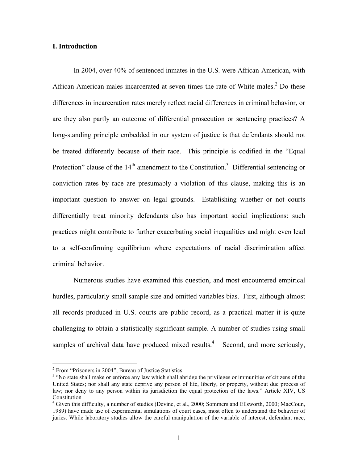## **I. Introduction**

In 2004, over 40% of sentenced inmates in the U.S. were African-American, with African-American males incarcerated at seven times the rate of White males.<sup>2</sup> Do these differences in incarceration rates merely reflect racial differences in criminal behavior, or are they also partly an outcome of differential prosecution or sentencing practices? A long-standing principle embedded in our system of justice is that defendants should not be treated differently because of their race. This principle is codified in the "Equal Protection" clause of the  $14<sup>th</sup>$  amendment to the Constitution.<sup>3</sup> Differential sentencing or conviction rates by race are presumably a violation of this clause, making this is an important question to answer on legal grounds. Establishing whether or not courts differentially treat minority defendants also has important social implications: such practices might contribute to further exacerbating social inequalities and might even lead to a self-confirming equilibrium where expectations of racial discrimination affect criminal behavior.

Numerous studies have examined this question, and most encountered empirical hurdles, particularly small sample size and omitted variables bias. First, although almost all records produced in U.S. courts are public record, as a practical matter it is quite challenging to obtain a statistically significant sample. A number of studies using small samples of archival data have produced mixed results. $4$  Second, and more seriously,

<sup>&</sup>lt;sup>2</sup> From "Prisoners in 2004", Bureau of Justice Statistics.

<sup>&</sup>lt;sup>3</sup> "No state shall make or enforce any law which shall abridge the privileges or immunities of citizens of the United States; nor shall any state deprive any person of life, liberty, or property, without due process of law; nor deny to any person within its jurisdiction the equal protection of the laws." Article XIV, US Constitution

<sup>4</sup> Given this difficulty, a number of studies (Devine, et al., 2000; Sommers and Ellsworth, 2000; MacCoun, 1989) have made use of experimental simulations of court cases, most often to understand the behavior of juries. While laboratory studies allow the careful manipulation of the variable of interest, defendant race,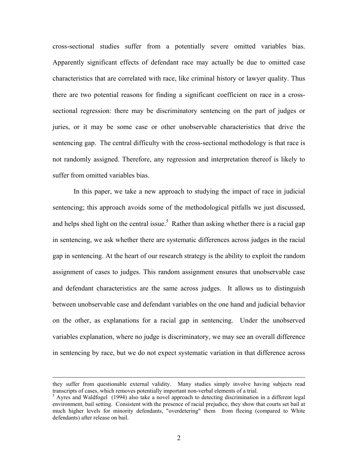cross-sectional studies suffer from a potentially severe omitted variables bias. Apparently significant effects of defendant race may actually be due to omitted case characteristics that are correlated with race, like criminal history or lawyer quality. Thus there are two potential reasons for finding a significant coefficient on race in a crosssectional regression: there may be discriminatory sentencing on the part of judges or juries, or it may be some case or other unobservable characteristics that drive the sentencing gap. The central difficulty with the cross-sectional methodology is that race is not randomly assigned. Therefore, any regression and interpretation thereof is likely to suffer from omitted variables bias.

In this paper, we take a new approach to studying the impact of race in judicial sentencing; this approach avoids some of the methodological pitfalls we just discussed, and helps shed light on the central issue.<sup>5</sup> Rather than asking whether there is a racial gap in sentencing, we ask whether there are systematic differences across judges in the racial gap in sentencing. At the heart of our research strategy is the ability to exploit the random assignment of cases to judges. This random assignment ensures that unobservable case and defendant characteristics are the same across judges. It allows us to distinguish between unobservable case and defendant variables on the one hand and judicial behavior on the other, as explanations for a racial gap in sentencing. Under the unobserved variables explanation, where no judge is discriminatory, we may see an overall difference in sentencing by race, but we do not expect systematic variation in that difference across

they suffer from questionable external validity. Many studies simply involve having subjects read transcripts of cases, which removes potentially important non-verbal elements of a trial. 5

<sup>&</sup>lt;sup>5</sup> Ayres and Waldfogel (1994) also take a novel approach to detecting discrimination in a different legal environment, bail setting. Consistent with the presence of racial prejudice, they show that courts set bail at much higher levels for minority defendants, "overdetering" them from fleeing (compared to White defendants) after release on bail.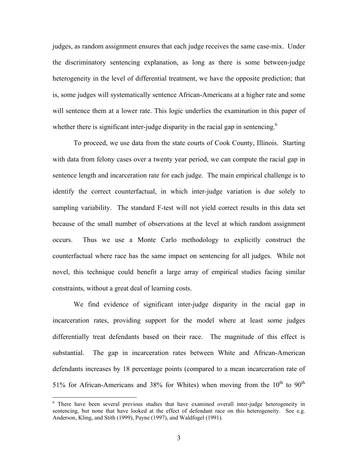judges, as random assignment ensures that each judge receives the same case-mix. Under the discriminatory sentencing explanation, as long as there is some between-judge heterogeneity in the level of differential treatment, we have the opposite prediction; that is, some judges will systematically sentence African-Americans at a higher rate and some will sentence them at a lower rate. This logic underlies the examination in this paper of whether there is significant inter-judge disparity in the racial gap in sentencing.<sup>6</sup>

To proceed, we use data from the state courts of Cook County, Illinois. Starting with data from felony cases over a twenty year period, we can compute the racial gap in sentence length and incarceration rate for each judge. The main empirical challenge is to identify the correct counterfactual, in which inter-judge variation is due solely to sampling variability. The standard F-test will not yield correct results in this data set because of the small number of observations at the level at which random assignment occurs. Thus we use a Monte Carlo methodology to explicitly construct the counterfactual where race has the same impact on sentencing for all judges. While not novel, this technique could benefit a large array of empirical studies facing similar constraints, without a great deal of learning costs.

We find evidence of significant inter-judge disparity in the racial gap in incarceration rates, providing support for the model where at least some judges differentially treat defendants based on their race. The magnitude of this effect is substantial. The gap in incarceration rates between White and African-American defendants increases by 18 percentage points (compared to a mean incarceration rate of 51% for African-Americans and 38% for Whites) when moving from the  $10^{th}$  to  $90^{th}$ 

<sup>&</sup>lt;sup>6</sup> There have been several previous studies that have examined overall inter-judge heterogeneity in sentencing, but none that have looked at the effect of defendant race on this heterogeneity. See e.g. Anderson, Kling, and Stith (1999), Payne (1997), and Waldfogel (1991).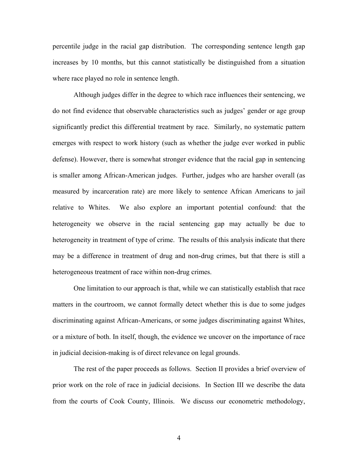percentile judge in the racial gap distribution. The corresponding sentence length gap increases by 10 months, but this cannot statistically be distinguished from a situation where race played no role in sentence length.

Although judges differ in the degree to which race influences their sentencing, we do not find evidence that observable characteristics such as judges' gender or age group significantly predict this differential treatment by race. Similarly, no systematic pattern emerges with respect to work history (such as whether the judge ever worked in public defense). However, there is somewhat stronger evidence that the racial gap in sentencing is smaller among African-American judges. Further, judges who are harsher overall (as measured by incarceration rate) are more likely to sentence African Americans to jail relative to Whites. We also explore an important potential confound: that the heterogeneity we observe in the racial sentencing gap may actually be due to heterogeneity in treatment of type of crime. The results of this analysis indicate that there may be a difference in treatment of drug and non-drug crimes, but that there is still a heterogeneous treatment of race within non-drug crimes.

One limitation to our approach is that, while we can statistically establish that race matters in the courtroom, we cannot formally detect whether this is due to some judges discriminating against African-Americans, or some judges discriminating against Whites, or a mixture of both. In itself, though, the evidence we uncover on the importance of race in judicial decision-making is of direct relevance on legal grounds.

The rest of the paper proceeds as follows. Section II provides a brief overview of prior work on the role of race in judicial decisions. In Section III we describe the data from the courts of Cook County, Illinois. We discuss our econometric methodology,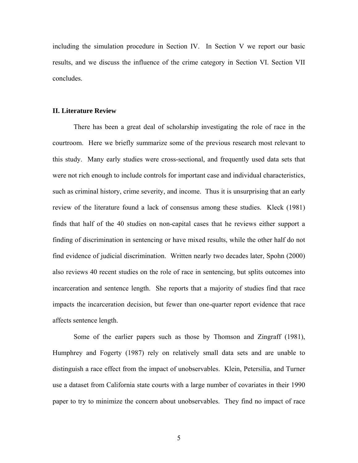including the simulation procedure in Section IV. In Section V we report our basic results, and we discuss the influence of the crime category in Section VI. Section VII concludes.

### **II. Literature Review**

 There has been a great deal of scholarship investigating the role of race in the courtroom. Here we briefly summarize some of the previous research most relevant to this study. Many early studies were cross-sectional, and frequently used data sets that were not rich enough to include controls for important case and individual characteristics, such as criminal history, crime severity, and income. Thus it is unsurprising that an early review of the literature found a lack of consensus among these studies. Kleck (1981) finds that half of the 40 studies on non-capital cases that he reviews either support a finding of discrimination in sentencing or have mixed results, while the other half do not find evidence of judicial discrimination. Written nearly two decades later, Spohn (2000) also reviews 40 recent studies on the role of race in sentencing, but splits outcomes into incarceration and sentence length. She reports that a majority of studies find that race impacts the incarceration decision, but fewer than one-quarter report evidence that race affects sentence length.

 Some of the earlier papers such as those by Thomson and Zingraff (1981), Humphrey and Fogerty (1987) rely on relatively small data sets and are unable to distinguish a race effect from the impact of unobservables. Klein, Petersilia, and Turner use a dataset from California state courts with a large number of covariates in their 1990 paper to try to minimize the concern about unobservables. They find no impact of race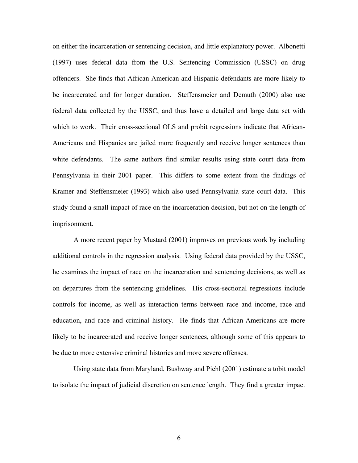on either the incarceration or sentencing decision, and little explanatory power. Albonetti (1997) uses federal data from the U.S. Sentencing Commission (USSC) on drug offenders. She finds that African-American and Hispanic defendants are more likely to be incarcerated and for longer duration. Steffensmeier and Demuth (2000) also use federal data collected by the USSC, and thus have a detailed and large data set with which to work. Their cross-sectional OLS and probit regressions indicate that African-Americans and Hispanics are jailed more frequently and receive longer sentences than white defendants. The same authors find similar results using state court data from Pennsylvania in their 2001 paper. This differs to some extent from the findings of Kramer and Steffensmeier (1993) which also used Pennsylvania state court data. This study found a small impact of race on the incarceration decision, but not on the length of imprisonment.

 A more recent paper by Mustard (2001) improves on previous work by including additional controls in the regression analysis. Using federal data provided by the USSC, he examines the impact of race on the incarceration and sentencing decisions, as well as on departures from the sentencing guidelines. His cross-sectional regressions include controls for income, as well as interaction terms between race and income, race and education, and race and criminal history. He finds that African-Americans are more likely to be incarcerated and receive longer sentences, although some of this appears to be due to more extensive criminal histories and more severe offenses.

Using state data from Maryland, Bushway and Piehl (2001) estimate a tobit model to isolate the impact of judicial discretion on sentence length. They find a greater impact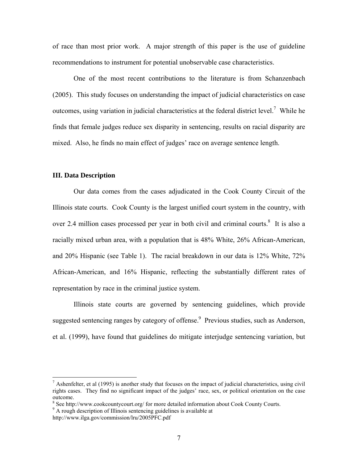of race than most prior work. A major strength of this paper is the use of guideline recommendations to instrument for potential unobservable case characteristics.

One of the most recent contributions to the literature is from Schanzenbach (2005). This study focuses on understanding the impact of judicial characteristics on case outcomes, using variation in judicial characteristics at the federal district level.<sup>7</sup> While he finds that female judges reduce sex disparity in sentencing, results on racial disparity are mixed. Also, he finds no main effect of judges' race on average sentence length.

## **III. Data Description**

Our data comes from the cases adjudicated in the Cook County Circuit of the Illinois state courts. Cook County is the largest unified court system in the country, with over 2.4 million cases processed per year in both civil and criminal courts. $8$  It is also a racially mixed urban area, with a population that is 48% White, 26% African-American, and 20% Hispanic (see Table 1). The racial breakdown in our data is 12% White, 72% African-American, and 16% Hispanic, reflecting the substantially different rates of representation by race in the criminal justice system.

Illinois state courts are governed by sentencing guidelines, which provide suggested sentencing ranges by category of offense.<sup>9</sup> Previous studies, such as Anderson, et al. (1999), have found that guidelines do mitigate interjudge sentencing variation, but

 $\overline{a}$ 

 $<sup>7</sup>$  Ashenfelter, et al (1995) is another study that focuses on the impact of judicial characteristics, using civil</sup> rights cases. They find no significant impact of the judges' race, sex, or political orientation on the case outcome.

<sup>&</sup>lt;sup>8</sup> See http://www.cookcountycourt.org/ for more detailed information about Cook County Courts.

<sup>&</sup>lt;sup>9</sup> A rough description of Illinois sentencing guidelines is available at

http://www.ilga.gov/commission/lru/2005PFC.pdf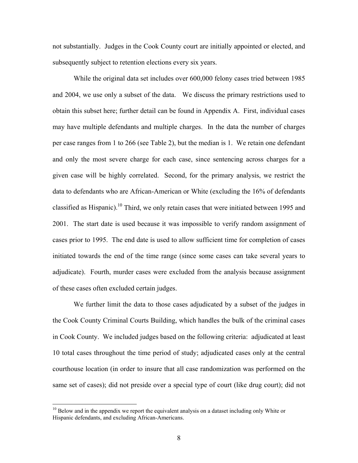not substantially. Judges in the Cook County court are initially appointed or elected, and subsequently subject to retention elections every six years.

While the original data set includes over 600,000 felony cases tried between 1985 and 2004, we use only a subset of the data. We discuss the primary restrictions used to obtain this subset here; further detail can be found in Appendix A. First, individual cases may have multiple defendants and multiple charges. In the data the number of charges per case ranges from 1 to 266 (see Table 2), but the median is 1. We retain one defendant and only the most severe charge for each case, since sentencing across charges for a given case will be highly correlated. Second, for the primary analysis, we restrict the data to defendants who are African-American or White (excluding the 16% of defendants classified as Hispanic).10 Third, we only retain cases that were initiated between 1995 and 2001. The start date is used because it was impossible to verify random assignment of cases prior to 1995. The end date is used to allow sufficient time for completion of cases initiated towards the end of the time range (since some cases can take several years to adjudicate). Fourth, murder cases were excluded from the analysis because assignment of these cases often excluded certain judges.

We further limit the data to those cases adjudicated by a subset of the judges in the Cook County Criminal Courts Building, which handles the bulk of the criminal cases in Cook County. We included judges based on the following criteria: adjudicated at least 10 total cases throughout the time period of study; adjudicated cases only at the central courthouse location (in order to insure that all case randomization was performed on the same set of cases); did not preside over a special type of court (like drug court); did not

 $\overline{a}$ 

 $10$  Below and in the appendix we report the equivalent analysis on a dataset including only White or Hispanic defendants, and excluding African-Americans.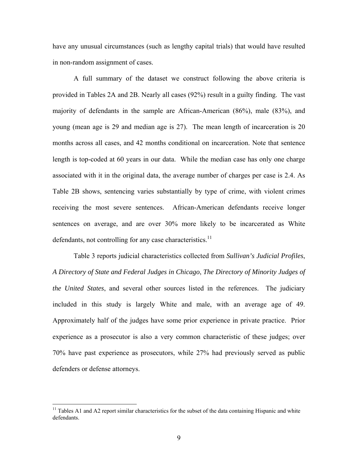have any unusual circumstances (such as lengthy capital trials) that would have resulted in non-random assignment of cases.

A full summary of the dataset we construct following the above criteria is provided in Tables 2A and 2B. Nearly all cases (92%) result in a guilty finding. The vast majority of defendants in the sample are African-American (86%), male (83%), and young (mean age is 29 and median age is 27). The mean length of incarceration is 20 months across all cases, and 42 months conditional on incarceration. Note that sentence length is top-coded at 60 years in our data. While the median case has only one charge associated with it in the original data, the average number of charges per case is 2.4. As Table 2B shows, sentencing varies substantially by type of crime, with violent crimes receiving the most severe sentences. African-American defendants receive longer sentences on average, and are over 30% more likely to be incarcerated as White defendants, not controlling for any case characteristics.<sup>11</sup>

Table 3 reports judicial characteristics collected from *Sullivan's Judicial Profiles*, *A Directory of State and Federal Judges in Chicago*, *The Directory of Minority Judges of the United States*, and several other sources listed in the references. The judiciary included in this study is largely White and male, with an average age of 49. Approximately half of the judges have some prior experience in private practice. Prior experience as a prosecutor is also a very common characteristic of these judges; over 70% have past experience as prosecutors, while 27% had previously served as public defenders or defense attorneys.

<sup>&</sup>lt;sup>11</sup> Tables A1 and A2 report similar characteristics for the subset of the data containing Hispanic and white defendants.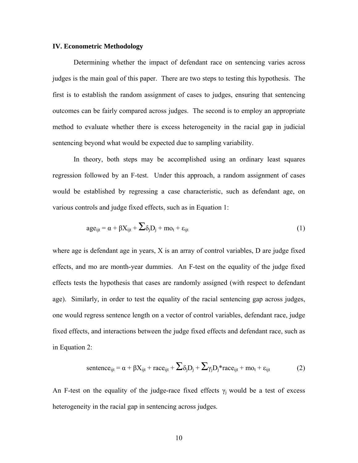## **IV. Econometric Methodology**

Determining whether the impact of defendant race on sentencing varies across judges is the main goal of this paper. There are two steps to testing this hypothesis. The first is to establish the random assignment of cases to judges, ensuring that sentencing outcomes can be fairly compared across judges. The second is to employ an appropriate method to evaluate whether there is excess heterogeneity in the racial gap in judicial sentencing beyond what would be expected due to sampling variability.

In theory, both steps may be accomplished using an ordinary least squares regression followed by an F-test. Under this approach, a random assignment of cases would be established by regressing a case characteristic, such as defendant age, on various controls and judge fixed effects, such as in Equation 1:

$$
age_{ijt} = \alpha + \beta X_{ijt} + \sum \delta_j D_j + m o_t + \epsilon_{ijt}
$$
 (1)

where age is defendant age in years, X is an array of control variables, D are judge fixed effects, and mo are month-year dummies. An F-test on the equality of the judge fixed effects tests the hypothesis that cases are randomly assigned (with respect to defendant age). Similarly, in order to test the equality of the racial sentencing gap across judges, one would regress sentence length on a vector of control variables, defendant race, judge fixed effects, and interactions between the judge fixed effects and defendant race, such as in Equation 2:

$$
sentence_{ijt} = \alpha + \beta X_{ijt} + race_{ijt} + \sum \delta_j D_j + \sum \gamma_j D_j * race_{ijt} + mo_t + \epsilon_{ijt}
$$
 (2)

An F-test on the equality of the judge-race fixed effects  $\gamma_i$  would be a test of excess heterogeneity in the racial gap in sentencing across judges.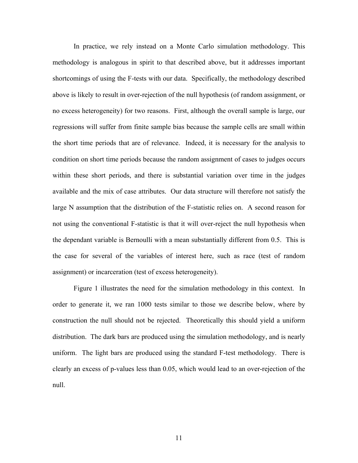In practice, we rely instead on a Monte Carlo simulation methodology. This methodology is analogous in spirit to that described above, but it addresses important shortcomings of using the F-tests with our data. Specifically, the methodology described above is likely to result in over-rejection of the null hypothesis (of random assignment, or no excess heterogeneity) for two reasons. First, although the overall sample is large, our regressions will suffer from finite sample bias because the sample cells are small within the short time periods that are of relevance. Indeed, it is necessary for the analysis to condition on short time periods because the random assignment of cases to judges occurs within these short periods, and there is substantial variation over time in the judges available and the mix of case attributes. Our data structure will therefore not satisfy the large N assumption that the distribution of the F-statistic relies on. A second reason for not using the conventional F-statistic is that it will over-reject the null hypothesis when the dependant variable is Bernoulli with a mean substantially different from 0.5. This is the case for several of the variables of interest here, such as race (test of random assignment) or incarceration (test of excess heterogeneity).

Figure 1 illustrates the need for the simulation methodology in this context. In order to generate it, we ran 1000 tests similar to those we describe below, where by construction the null should not be rejected. Theoretically this should yield a uniform distribution. The dark bars are produced using the simulation methodology, and is nearly uniform. The light bars are produced using the standard F-test methodology. There is clearly an excess of p-values less than 0.05, which would lead to an over-rejection of the null.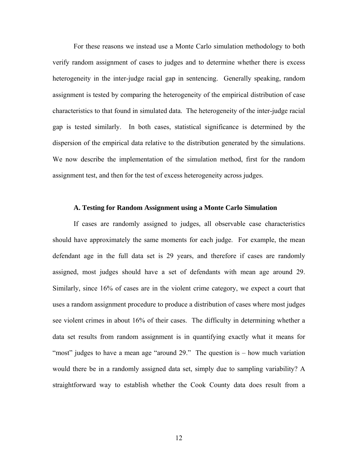For these reasons we instead use a Monte Carlo simulation methodology to both verify random assignment of cases to judges and to determine whether there is excess heterogeneity in the inter-judge racial gap in sentencing. Generally speaking, random assignment is tested by comparing the heterogeneity of the empirical distribution of case characteristics to that found in simulated data. The heterogeneity of the inter-judge racial gap is tested similarly. In both cases, statistical significance is determined by the dispersion of the empirical data relative to the distribution generated by the simulations. We now describe the implementation of the simulation method, first for the random assignment test, and then for the test of excess heterogeneity across judges.

#### **A. Testing for Random Assignment using a Monte Carlo Simulation**

If cases are randomly assigned to judges, all observable case characteristics should have approximately the same moments for each judge. For example, the mean defendant age in the full data set is 29 years, and therefore if cases are randomly assigned, most judges should have a set of defendants with mean age around 29. Similarly, since 16% of cases are in the violent crime category, we expect a court that uses a random assignment procedure to produce a distribution of cases where most judges see violent crimes in about 16% of their cases. The difficulty in determining whether a data set results from random assignment is in quantifying exactly what it means for "most" judges to have a mean age "around 29." The question is – how much variation would there be in a randomly assigned data set, simply due to sampling variability? A straightforward way to establish whether the Cook County data does result from a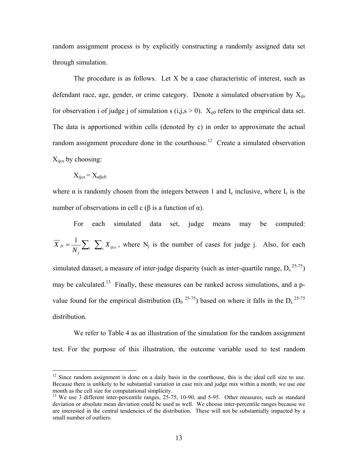random assignment process is by explicitly constructing a randomly assigned data set through simulation.

The procedure is as follows. Let X be a case characteristic of interest, such as defendant race, age, gender, or crime category. Denote a simulated observation by  $X_{iis}$ for observation i of judge j of simulation s  $(i,j,s \ge 0)$ .  $X_{ii0}$  refers to the empirical data set. The data is apportioned within cells (denoted by c) in order to approximate the actual random assignment procedure done in the courthouse.<sup>12</sup> Create a simulated observation  $X_{i\text{ics}}$  by choosing:

$$
X_{ijcs} = X_{\alpha\beta c0}
$$

distribution.

<u>.</u>

where  $\alpha$  is randomly chosen from the integers between 1 and  $I_c$  inclusive, where  $I_c$  is the number of observations in cell c ( $\beta$  is a function of  $\alpha$ ).

For each simulated data set, judge means may be computed:  $=\frac{1}{N_{j}}\sum_{i}\sum_{c}X_{ijcs}$  $j_s = \frac{1}{\sqrt{2}} \sum_{k} X_k$ *N*  $\overline{X}_{js} = \frac{1}{N} \sum_{i} \sum_{i} X_{ijcs}$ , where N<sub>j</sub> is the number of cases for judge j. Also, for each simulated dataset, a measure of inter-judge disparity (such as inter-quartile range,  $D_s^{25-75}$ ) may be calculated.<sup>13</sup> Finally, these measures can be ranked across simulations, and a pvalue found for the empirical distribution  $(D_0^{25-75})$  based on where it falls in the  $D_s^{25-75}$ 

We refer to Table 4 as an illustration of the simulation for the random assignment test. For the purpose of this illustration, the outcome variable used to test random

 $12$  Since random assignment is done on a daily basis in the courthouse, this is the ideal cell size to use. Because there is unlikely to be substantial variation in case mix and judge mix within a month, we use one month as the cell size for computational simplicity.

<sup>&</sup>lt;sup>13</sup> We use 3 different inter-percentile ranges, 25-75, 10-90, and 5-95. Other measures, such as standard deviation or absolute mean deviation could be used as well. We choose inter-percentile ranges because we are interested in the central tendencies of the distribution. These will not be substantially impacted by a small number of outliers.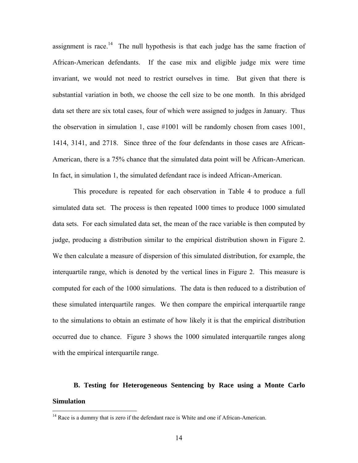assignment is race.<sup>14</sup> The null hypothesis is that each judge has the same fraction of African-American defendants. If the case mix and eligible judge mix were time invariant, we would not need to restrict ourselves in time. But given that there is substantial variation in both, we choose the cell size to be one month. In this abridged data set there are six total cases, four of which were assigned to judges in January. Thus the observation in simulation 1, case #1001 will be randomly chosen from cases 1001, 1414, 3141, and 2718. Since three of the four defendants in those cases are African-American, there is a 75% chance that the simulated data point will be African-American. In fact, in simulation 1, the simulated defendant race is indeed African-American.

This procedure is repeated for each observation in Table 4 to produce a full simulated data set. The process is then repeated 1000 times to produce 1000 simulated data sets. For each simulated data set, the mean of the race variable is then computed by judge, producing a distribution similar to the empirical distribution shown in Figure 2. We then calculate a measure of dispersion of this simulated distribution, for example, the interquartile range, which is denoted by the vertical lines in Figure 2. This measure is computed for each of the 1000 simulations. The data is then reduced to a distribution of these simulated interquartile ranges. We then compare the empirical interquartile range to the simulations to obtain an estimate of how likely it is that the empirical distribution occurred due to chance. Figure 3 shows the 1000 simulated interquartile ranges along with the empirical interquartile range.

## **B. Testing for Heterogeneous Sentencing by Race using a Monte Carlo Simulation**

<u>.</u>

<sup>&</sup>lt;sup>14</sup> Race is a dummy that is zero if the defendant race is White and one if African-American.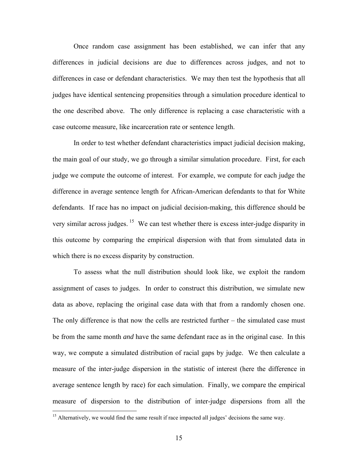Once random case assignment has been established, we can infer that any differences in judicial decisions are due to differences across judges, and not to differences in case or defendant characteristics. We may then test the hypothesis that all judges have identical sentencing propensities through a simulation procedure identical to the one described above. The only difference is replacing a case characteristic with a case outcome measure, like incarceration rate or sentence length.

In order to test whether defendant characteristics impact judicial decision making, the main goal of our study, we go through a similar simulation procedure. First, for each judge we compute the outcome of interest. For example, we compute for each judge the difference in average sentence length for African-American defendants to that for White defendants. If race has no impact on judicial decision-making, this difference should be very similar across judges. <sup>15</sup> We can test whether there is excess inter-judge disparity in this outcome by comparing the empirical dispersion with that from simulated data in which there is no excess disparity by construction.

To assess what the null distribution should look like, we exploit the random assignment of cases to judges. In order to construct this distribution, we simulate new data as above, replacing the original case data with that from a randomly chosen one. The only difference is that now the cells are restricted further – the simulated case must be from the same month *and* have the same defendant race as in the original case. In this way, we compute a simulated distribution of racial gaps by judge. We then calculate a measure of the inter-judge dispersion in the statistic of interest (here the difference in average sentence length by race) for each simulation. Finally, we compare the empirical measure of dispersion to the distribution of inter-judge dispersions from all the

<u>.</u>

 $<sup>15</sup>$  Alternatively, we would find the same result if race impacted all judges' decisions the same way.</sup>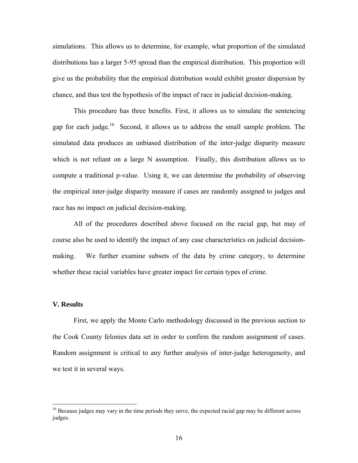simulations. This allows us to determine, for example, what proportion of the simulated distributions has a larger 5-95 spread than the empirical distribution. This proportion will give us the probability that the empirical distribution would exhibit greater dispersion by chance, and thus test the hypothesis of the impact of race in judicial decision-making.

This procedure has three benefits. First, it allows us to simulate the sentencing gap for each judge.16 Second, it allows us to address the small sample problem. The simulated data produces an unbiased distribution of the inter-judge disparity measure which is not reliant on a large N assumption. Finally, this distribution allows us to compute a traditional p-value. Using it, we can determine the probability of observing the empirical inter-judge disparity measure if cases are randomly assigned to judges and race has no impact on judicial decision-making.

All of the procedures described above focused on the racial gap, but may of course also be used to identify the impact of any case characteristics on judicial decisionmaking. We further examine subsets of the data by crime category, to determine whether these racial variables have greater impact for certain types of crime.

#### **V. Results**

1

First, we apply the Monte Carlo methodology discussed in the previous section to the Cook County felonies data set in order to confirm the random assignment of cases. Random assignment is critical to any further analysis of inter-judge heterogeneity, and we test it in several ways.

<sup>&</sup>lt;sup>16</sup> Because judges may vary in the time periods they serve, the expected racial gap may be different across judges.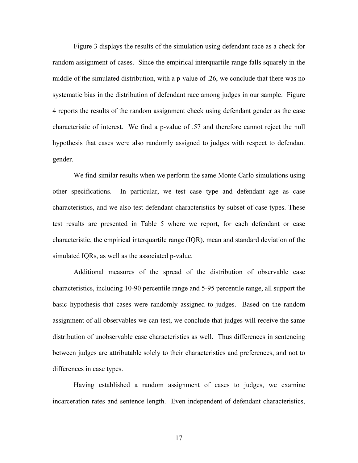Figure 3 displays the results of the simulation using defendant race as a check for random assignment of cases. Since the empirical interquartile range falls squarely in the middle of the simulated distribution, with a p-value of .26, we conclude that there was no systematic bias in the distribution of defendant race among judges in our sample. Figure 4 reports the results of the random assignment check using defendant gender as the case characteristic of interest. We find a p-value of .57 and therefore cannot reject the null hypothesis that cases were also randomly assigned to judges with respect to defendant gender.

We find similar results when we perform the same Monte Carlo simulations using other specifications. In particular, we test case type and defendant age as case characteristics, and we also test defendant characteristics by subset of case types. These test results are presented in Table 5 where we report, for each defendant or case characteristic, the empirical interquartile range (IQR), mean and standard deviation of the simulated IQRs, as well as the associated p-value.

Additional measures of the spread of the distribution of observable case characteristics, including 10-90 percentile range and 5-95 percentile range, all support the basic hypothesis that cases were randomly assigned to judges. Based on the random assignment of all observables we can test, we conclude that judges will receive the same distribution of unobservable case characteristics as well. Thus differences in sentencing between judges are attributable solely to their characteristics and preferences, and not to differences in case types.

Having established a random assignment of cases to judges, we examine incarceration rates and sentence length. Even independent of defendant characteristics,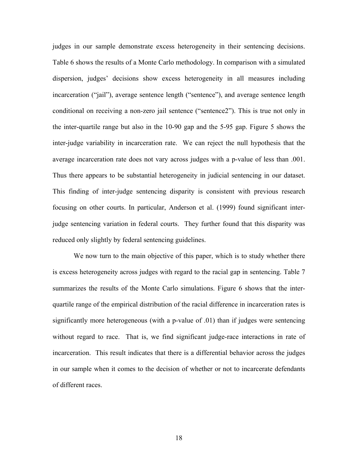judges in our sample demonstrate excess heterogeneity in their sentencing decisions. Table 6 shows the results of a Monte Carlo methodology. In comparison with a simulated dispersion, judges' decisions show excess heterogeneity in all measures including incarceration ("jail"), average sentence length ("sentence"), and average sentence length conditional on receiving a non-zero jail sentence ("sentence2"). This is true not only in the inter-quartile range but also in the 10-90 gap and the 5-95 gap. Figure 5 shows the inter-judge variability in incarceration rate. We can reject the null hypothesis that the average incarceration rate does not vary across judges with a p-value of less than .001. Thus there appears to be substantial heterogeneity in judicial sentencing in our dataset. This finding of inter-judge sentencing disparity is consistent with previous research focusing on other courts. In particular, Anderson et al. (1999) found significant interjudge sentencing variation in federal courts. They further found that this disparity was reduced only slightly by federal sentencing guidelines.

We now turn to the main objective of this paper, which is to study whether there is excess heterogeneity across judges with regard to the racial gap in sentencing. Table 7 summarizes the results of the Monte Carlo simulations. Figure 6 shows that the interquartile range of the empirical distribution of the racial difference in incarceration rates is significantly more heterogeneous (with a p-value of .01) than if judges were sentencing without regard to race. That is, we find significant judge-race interactions in rate of incarceration. This result indicates that there is a differential behavior across the judges in our sample when it comes to the decision of whether or not to incarcerate defendants of different races.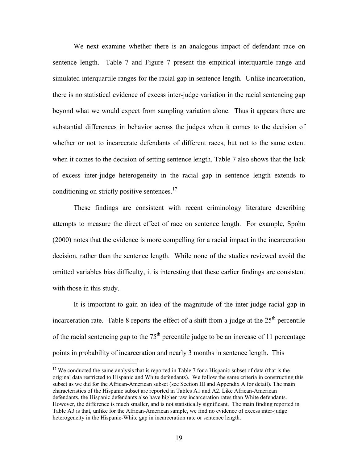We next examine whether there is an analogous impact of defendant race on sentence length. Table 7 and Figure 7 present the empirical interquartile range and simulated interquartile ranges for the racial gap in sentence length. Unlike incarceration, there is no statistical evidence of excess inter-judge variation in the racial sentencing gap beyond what we would expect from sampling variation alone. Thus it appears there are substantial differences in behavior across the judges when it comes to the decision of whether or not to incarcerate defendants of different races, but not to the same extent when it comes to the decision of setting sentence length. Table 7 also shows that the lack of excess inter-judge heterogeneity in the racial gap in sentence length extends to conditioning on strictly positive sentences. $^{17}$ 

These findings are consistent with recent criminology literature describing attempts to measure the direct effect of race on sentence length. For example, Spohn (2000) notes that the evidence is more compelling for a racial impact in the incarceration decision, rather than the sentence length. While none of the studies reviewed avoid the omitted variables bias difficulty, it is interesting that these earlier findings are consistent with those in this study.

It is important to gain an idea of the magnitude of the inter-judge racial gap in incarceration rate. Table 8 reports the effect of a shift from a judge at the  $25<sup>th</sup>$  percentile of the racial sentencing gap to the  $75<sup>th</sup>$  percentile judge to be an increase of 11 percentage points in probability of incarceration and nearly 3 months in sentence length. This

 $\overline{a}$ 

 $17$  We conducted the same analysis that is reported in Table 7 for a Hispanic subset of data (that is the original data restricted to Hispanic and White defendants). We follow the same criteria in constructing this subset as we did for the African-American subset (see Section III and Appendix A for detail). The main characteristics of the Hispanic subset are reported in Tables A1 and A2. Like African-American defendants, the Hispanic defendants also have higher raw incarceration rates than White defendants. However, the difference is much smaller, and is not statistically significant. The main finding reported in Table A3 is that, unlike for the African-American sample, we find no evidence of excess inter-judge heterogeneity in the Hispanic-White gap in incarceration rate or sentence length.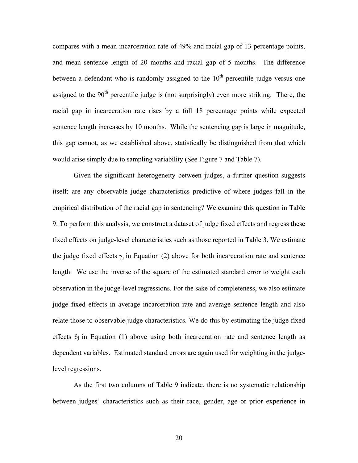compares with a mean incarceration rate of 49% and racial gap of 13 percentage points, and mean sentence length of 20 months and racial gap of 5 months. The difference between a defendant who is randomly assigned to the  $10<sup>th</sup>$  percentile judge versus one assigned to the  $90<sup>th</sup>$  percentile judge is (not surprisingly) even more striking. There, the racial gap in incarceration rate rises by a full 18 percentage points while expected sentence length increases by 10 months. While the sentencing gap is large in magnitude, this gap cannot, as we established above, statistically be distinguished from that which would arise simply due to sampling variability (See Figure 7 and Table 7).

Given the significant heterogeneity between judges, a further question suggests itself: are any observable judge characteristics predictive of where judges fall in the empirical distribution of the racial gap in sentencing? We examine this question in Table 9. To perform this analysis, we construct a dataset of judge fixed effects and regress these fixed effects on judge-level characteristics such as those reported in Table 3. We estimate the judge fixed effects  $\gamma_j$  in Equation (2) above for both incarceration rate and sentence length. We use the inverse of the square of the estimated standard error to weight each observation in the judge-level regressions. For the sake of completeness, we also estimate judge fixed effects in average incarceration rate and average sentence length and also relate those to observable judge characteristics. We do this by estimating the judge fixed effects  $\delta_i$  in Equation (1) above using both incarceration rate and sentence length as dependent variables. Estimated standard errors are again used for weighting in the judgelevel regressions.

As the first two columns of Table 9 indicate, there is no systematic relationship between judges' characteristics such as their race, gender, age or prior experience in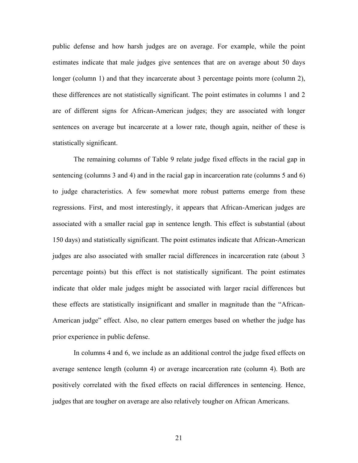public defense and how harsh judges are on average. For example, while the point estimates indicate that male judges give sentences that are on average about 50 days longer (column 1) and that they incarcerate about 3 percentage points more (column 2), these differences are not statistically significant. The point estimates in columns 1 and 2 are of different signs for African-American judges; they are associated with longer sentences on average but incarcerate at a lower rate, though again, neither of these is statistically significant.

The remaining columns of Table 9 relate judge fixed effects in the racial gap in sentencing (columns 3 and 4) and in the racial gap in incarceration rate (columns 5 and 6) to judge characteristics. A few somewhat more robust patterns emerge from these regressions. First, and most interestingly, it appears that African-American judges are associated with a smaller racial gap in sentence length. This effect is substantial (about 150 days) and statistically significant. The point estimates indicate that African-American judges are also associated with smaller racial differences in incarceration rate (about 3 percentage points) but this effect is not statistically significant. The point estimates indicate that older male judges might be associated with larger racial differences but these effects are statistically insignificant and smaller in magnitude than the "African-American judge" effect. Also, no clear pattern emerges based on whether the judge has prior experience in public defense.

In columns 4 and 6, we include as an additional control the judge fixed effects on average sentence length (column 4) or average incarceration rate (column 4). Both are positively correlated with the fixed effects on racial differences in sentencing. Hence, judges that are tougher on average are also relatively tougher on African Americans.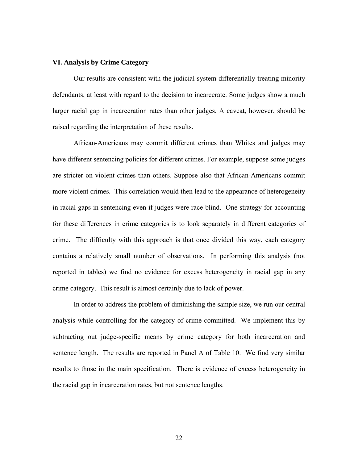#### **VI. Analysis by Crime Category**

Our results are consistent with the judicial system differentially treating minority defendants, at least with regard to the decision to incarcerate. Some judges show a much larger racial gap in incarceration rates than other judges. A caveat, however, should be raised regarding the interpretation of these results.

African-Americans may commit different crimes than Whites and judges may have different sentencing policies for different crimes. For example, suppose some judges are stricter on violent crimes than others. Suppose also that African-Americans commit more violent crimes. This correlation would then lead to the appearance of heterogeneity in racial gaps in sentencing even if judges were race blind. One strategy for accounting for these differences in crime categories is to look separately in different categories of crime. The difficulty with this approach is that once divided this way, each category contains a relatively small number of observations. In performing this analysis (not reported in tables) we find no evidence for excess heterogeneity in racial gap in any crime category. This result is almost certainly due to lack of power.

In order to address the problem of diminishing the sample size, we run our central analysis while controlling for the category of crime committed. We implement this by subtracting out judge-specific means by crime category for both incarceration and sentence length. The results are reported in Panel A of Table 10. We find very similar results to those in the main specification. There is evidence of excess heterogeneity in the racial gap in incarceration rates, but not sentence lengths.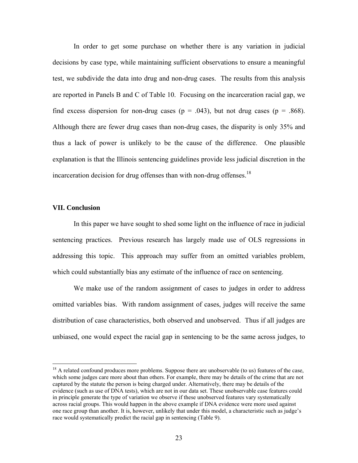In order to get some purchase on whether there is any variation in judicial decisions by case type, while maintaining sufficient observations to ensure a meaningful test, we subdivide the data into drug and non-drug cases. The results from this analysis are reported in Panels B and C of Table 10. Focusing on the incarceration racial gap, we find excess dispersion for non-drug cases ( $p = .043$ ), but not drug cases ( $p = .868$ ). Although there are fewer drug cases than non-drug cases, the disparity is only 35% and thus a lack of power is unlikely to be the cause of the difference. One plausible explanation is that the Illinois sentencing guidelines provide less judicial discretion in the incarceration decision for drug offenses than with non-drug offenses.<sup>18</sup>

#### **VII. Conclusion**

 $\overline{a}$ 

In this paper we have sought to shed some light on the influence of race in judicial sentencing practices. Previous research has largely made use of OLS regressions in addressing this topic. This approach may suffer from an omitted variables problem, which could substantially bias any estimate of the influence of race on sentencing.

We make use of the random assignment of cases to judges in order to address omitted variables bias. With random assignment of cases, judges will receive the same distribution of case characteristics, both observed and unobserved. Thus if all judges are unbiased, one would expect the racial gap in sentencing to be the same across judges, to

<sup>&</sup>lt;sup>18</sup> A related confound produces more problems. Suppose there are unobservable (to us) features of the case, which some judges care more about than others. For example, there may be details of the crime that are not captured by the statute the person is being charged under. Alternatively, there may be details of the evidence (such as use of DNA tests), which are not in our data set. These unobservable case features could in principle generate the type of variation we observe if these unobserved features vary systematically across racial groups. This would happen in the above example if DNA evidence were more used against one race group than another. It is, however, unlikely that under this model, a characteristic such as judge's race would systematically predict the racial gap in sentencing (Table 9).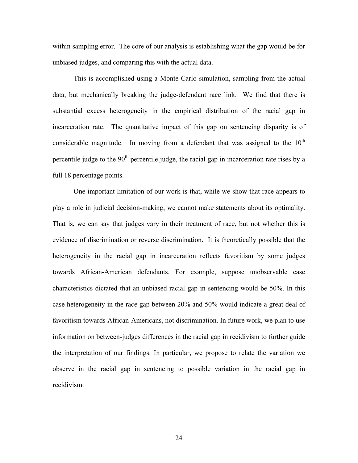within sampling error. The core of our analysis is establishing what the gap would be for unbiased judges, and comparing this with the actual data.

This is accomplished using a Monte Carlo simulation, sampling from the actual data, but mechanically breaking the judge-defendant race link. We find that there is substantial excess heterogeneity in the empirical distribution of the racial gap in incarceration rate. The quantitative impact of this gap on sentencing disparity is of considerable magnitude. In moving from a defendant that was assigned to the  $10<sup>th</sup>$ percentile judge to the  $90<sup>th</sup>$  percentile judge, the racial gap in incarceration rate rises by a full 18 percentage points.

One important limitation of our work is that, while we show that race appears to play a role in judicial decision-making, we cannot make statements about its optimality. That is, we can say that judges vary in their treatment of race, but not whether this is evidence of discrimination or reverse discrimination. It is theoretically possible that the heterogeneity in the racial gap in incarceration reflects favoritism by some judges towards African-American defendants. For example, suppose unobservable case characteristics dictated that an unbiased racial gap in sentencing would be 50%. In this case heterogeneity in the race gap between 20% and 50% would indicate a great deal of favoritism towards African-Americans, not discrimination. In future work, we plan to use information on between-judges differences in the racial gap in recidivism to further guide the interpretation of our findings. In particular, we propose to relate the variation we observe in the racial gap in sentencing to possible variation in the racial gap in recidivism.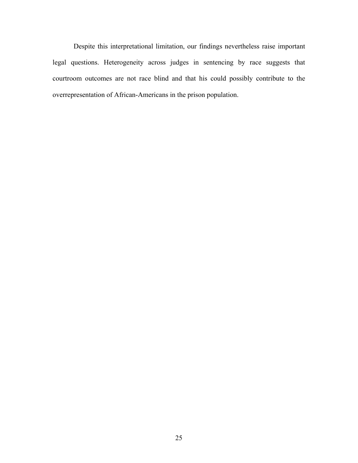Despite this interpretational limitation, our findings nevertheless raise important legal questions. Heterogeneity across judges in sentencing by race suggests that courtroom outcomes are not race blind and that his could possibly contribute to the overrepresentation of African-Americans in the prison population.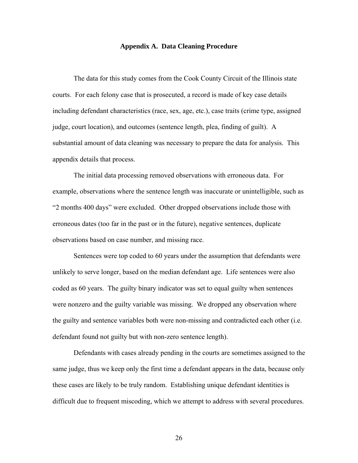## **Appendix A. Data Cleaning Procedure**

The data for this study comes from the Cook County Circuit of the Illinois state courts. For each felony case that is prosecuted, a record is made of key case details including defendant characteristics (race, sex, age, etc.), case traits (crime type, assigned judge, court location), and outcomes (sentence length, plea, finding of guilt). A substantial amount of data cleaning was necessary to prepare the data for analysis. This appendix details that process.

The initial data processing removed observations with erroneous data. For example, observations where the sentence length was inaccurate or unintelligible, such as "2 months 400 days" were excluded. Other dropped observations include those with erroneous dates (too far in the past or in the future), negative sentences, duplicate observations based on case number, and missing race.

Sentences were top coded to 60 years under the assumption that defendants were unlikely to serve longer, based on the median defendant age. Life sentences were also coded as 60 years. The guilty binary indicator was set to equal guilty when sentences were nonzero and the guilty variable was missing. We dropped any observation where the guilty and sentence variables both were non-missing and contradicted each other (i.e. defendant found not guilty but with non-zero sentence length).

Defendants with cases already pending in the courts are sometimes assigned to the same judge, thus we keep only the first time a defendant appears in the data, because only these cases are likely to be truly random. Establishing unique defendant identities is difficult due to frequent miscoding, which we attempt to address with several procedures.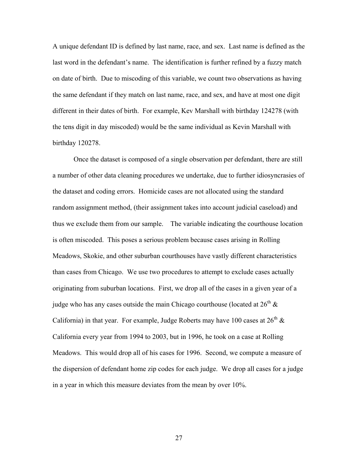A unique defendant ID is defined by last name, race, and sex. Last name is defined as the last word in the defendant's name. The identification is further refined by a fuzzy match on date of birth. Due to miscoding of this variable, we count two observations as having the same defendant if they match on last name, race, and sex, and have at most one digit different in their dates of birth. For example, Kev Marshall with birthday 124278 (with the tens digit in day miscoded) would be the same individual as Kevin Marshall with birthday 120278.

Once the dataset is composed of a single observation per defendant, there are still a number of other data cleaning procedures we undertake, due to further idiosyncrasies of the dataset and coding errors. Homicide cases are not allocated using the standard random assignment method, (their assignment takes into account judicial caseload) and thus we exclude them from our sample. The variable indicating the courthouse location is often miscoded. This poses a serious problem because cases arising in Rolling Meadows, Skokie, and other suburban courthouses have vastly different characteristics than cases from Chicago. We use two procedures to attempt to exclude cases actually originating from suburban locations. First, we drop all of the cases in a given year of a judge who has any cases outside the main Chicago courthouse (located at  $26<sup>th</sup>$  & California) in that year. For example, Judge Roberts may have 100 cases at  $26<sup>th</sup>$  & California every year from 1994 to 2003, but in 1996, he took on a case at Rolling Meadows. This would drop all of his cases for 1996. Second, we compute a measure of the dispersion of defendant home zip codes for each judge. We drop all cases for a judge in a year in which this measure deviates from the mean by over 10%.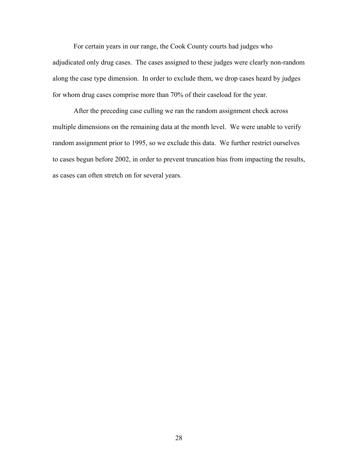For certain years in our range, the Cook County courts had judges who adjudicated only drug cases. The cases assigned to these judges were clearly non-random along the case type dimension. In order to exclude them, we drop cases heard by judges for whom drug cases comprise more than 70% of their caseload for the year.

 After the preceding case culling we ran the random assignment check across multiple dimensions on the remaining data at the month level. We were unable to verify random assignment prior to 1995, so we exclude this data. We further restrict ourselves to cases begun before 2002, in order to prevent truncation bias from impacting the results, as cases can often stretch on for several years.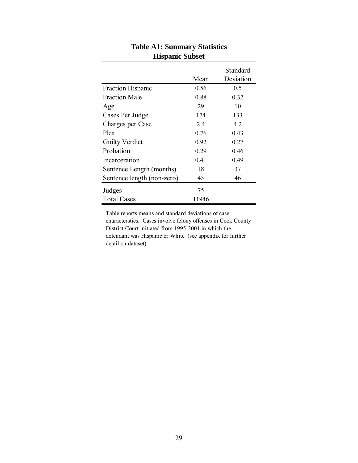|                            | Mean  | Standard<br>Deviation |
|----------------------------|-------|-----------------------|
| Fraction Hispanic          | 0.56  | 0.5                   |
| <b>Fraction Male</b>       | 0.88  | 0.32                  |
| Age                        | 29    | 10                    |
| Cases Per Judge            | 174   | 133                   |
| Charges per Case           | 2.4   | 4.2                   |
| Plea                       | 0.76  | 0.43                  |
| <b>Guilty Verdict</b>      | 0.92  | 0.27                  |
| Probation                  | 0.29  | 0.46                  |
| Incarceration              | 0.41  | 0.49                  |
| Sentence Length (months)   | 18    | 37                    |
| Sentence length (non-zero) | 43    | 46                    |
| Judges                     | 75    |                       |
| <b>Total Cases</b>         | 11946 |                       |

## **Table A1: Summary Statistics Hispanic Subset**

Table reports means and standard deviations of case characterstics. Cases involve felony offenses in Cook County District Court initiated from 1995-2001 in which the defendant was Hispanic or White (see appendix for further detail on dataset).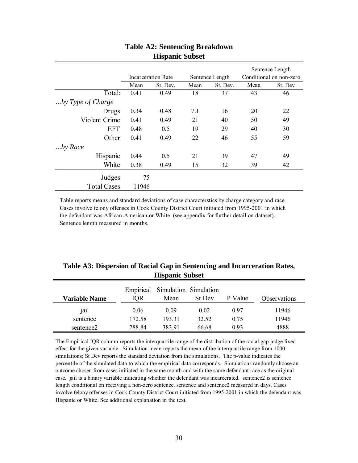| Incarceration Rate<br>Sentence Length |          |      | Sentence Length<br>Conditional on non-zero |      |         |
|---------------------------------------|----------|------|--------------------------------------------|------|---------|
| Mean                                  | St. Dev. | Mean | St. Dev.                                   | Mean | St. Dev |
| 0.41                                  | 0.49     | 18   | 37                                         | 43   | 46      |
|                                       |          |      |                                            |      |         |
| 0.34                                  | 0.48     | 7.1  | 16                                         | 20   | 22      |
| 0.41                                  | 0.49     | 21   | 40                                         | 50   | 49      |
| 0.48                                  | 0.5      | 19   | 29                                         | 40   | 30      |
| 0.41                                  | 0.49     | 22   | 46                                         | 55   | 59      |
|                                       |          |      |                                            |      |         |
| 0.44                                  | 0.5      | 21   | 39                                         | 47   | 49      |
| 0.38                                  | 0.49     | 15   | 32                                         | 39   | 42      |
| 75                                    |          |      |                                            |      |         |
|                                       | 11946    |      |                                            |      |         |

## **Table A2: Sentencing Breakdown Hispanic Subset**

Table reports means and standard deviations of case characterstics by charge category and race. Cases involve felony offenses in Cook County District Court initiated from 1995-2001 in which the defendant was African-American or White (see appendix for further detail on dataset). Sentence length measured in months.

| Table A3: Dispersion of Racial Gap in Sentencing and Incarceration Rates, |
|---------------------------------------------------------------------------|
| <b>Hispanic Subset</b>                                                    |

| <b>Variable Name</b>  | IOR    | Empirical Simulation Simulation<br>Mean | St Dev | P Value | Observations |
|-----------------------|--------|-----------------------------------------|--------|---------|--------------|
| jail                  | 0.06   | 0.09                                    | 0.02   | 0.97    | 11946        |
| sentence              | 172.58 | 193.31                                  | 32.52  | 0.75    | 11946        |
| sentence <sub>2</sub> | 288.84 | 383.91                                  | 66.68  | 0.93    | 4888         |

The Empirical IQR column reports the interquartile range of the distribution of the racial gap judge fixed effect for the given variable. Simulation mean reports the mean of the interquartile range from 1000 simulations; St Dev reports the standard deviation from the simulations. The p-value indicates the percentile of the simulated data to which the empirical data corresponds. Simulations randomly choose an outcome chosen from cases initiated in the same month and with the same defendant race as the original case. jail is a binary variable indicating whether the defendant was incarcerated. sentence2 is sentence length conditional on receiving a non-zero sentence. sentence and sentence2 measured in days. Cases involve felony offenses in Cook County District Court initiated from 1995-2001 in which the defendant was Hispanic or White. See additional explanation in the text.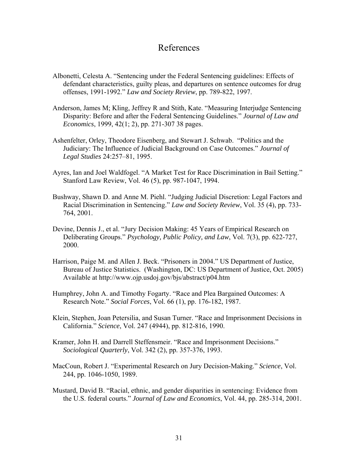## References

- Albonetti, Celesta A. "Sentencing under the Federal Sentencing guidelines: Effects of defendant characteristics, guilty pleas, and departures on sentence outcomes for drug offenses, 1991-1992." *Law and Society Review*, pp. 789-822, 1997.
- Anderson, James M; Kling, Jeffrey R and Stith, Kate. "Measuring Interjudge Sentencing Disparity: Before and after the Federal Sentencing Guidelines." *Journal of Law and Economics*, 1999, 42(1; 2), pp. 271-307 38 pages.
- Ashenfelter, Orley, Theodore Eisenberg, and Stewart J. Schwab. "Politics and the Judiciary: The Influence of Judicial Background on Case Outcomes." *Journal of Legal Studies* 24:257–81, 1995.
- Ayres, Ian and Joel Waldfogel. "A Market Test for Race Discrimination in Bail Setting." Stanford Law Review, Vol. 46 (5), pp. 987-1047, 1994.
- Bushway, Shawn D. and Anne M. Piehl. "Judging Judicial Discretion: Legal Factors and Racial Discrimination in Sentencing." *Law and Society Review*, Vol. 35 (4), pp. 733- 764, 2001.
- Devine, Dennis J., et al. "Jury Decision Making: 45 Years of Empirical Research on Deliberating Groups." *Psychology, Public Policy, and Law*, Vol. 7(3), pp. 622-727, 2000.
- Harrison, Paige M. and Allen J. Beck. "Prisoners in 2004." US Department of Justice, Bureau of Justice Statistics. (Washington, DC: US Department of Justice, Oct. 2005) Available at http://www.ojp.usdoj.gov/bjs/abstract/p04.htm
- Humphrey, John A. and Timothy Fogarty. "Race and Plea Bargained Outcomes: A Research Note." *Social Forces*, Vol. 66 (1), pp. 176-182, 1987.
- Klein, Stephen, Joan Petersilia, and Susan Turner. "Race and Imprisonment Decisions in California." *Science*, Vol. 247 (4944), pp. 812-816, 1990.
- Kramer, John H. and Darrell Steffensmeir. "Race and Imprisonment Decisions." *Sociological Quarterly*, Vol. 342 (2), pp. 357-376, 1993.
- MacCoun, Robert J. "Experimental Research on Jury Decision-Making." *Science*, Vol. 244, pp. 1046-1050, 1989.
- Mustard, David B. "Racial, ethnic, and gender disparities in sentencing: Evidence from the U.S. federal courts." *Journal of Law and Economics*, Vol. 44, pp. 285-314, 2001.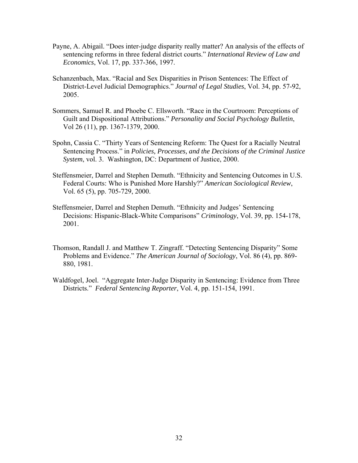- Payne, A. Abigail. "Does inter-judge disparity really matter? An analysis of the effects of sentencing reforms in three federal district courts." *International Review of Law and Economics*, Vol. 17, pp. 337-366, 1997.
- Schanzenbach, Max. "Racial and Sex Disparities in Prison Sentences: The Effect of District-Level Judicial Demographics." *Journal of Legal Studies*, Vol. 34, pp. 57-92, 2005.
- Sommers, Samuel R. and Phoebe C. Ellsworth. "Race in the Courtroom: Perceptions of Guilt and Dispositional Attributions." *Personality and Social Psychology Bulletin*, Vol 26 (11), pp. 1367-1379, 2000.
- Spohn, Cassia C. "Thirty Years of Sentencing Reform: The Quest for a Racially Neutral Sentencing Process." in *Policies, Processes, and the Decisions of the Criminal Justice System*, vol. 3. Washington, DC: Department of Justice, 2000.
- Steffensmeier, Darrel and Stephen Demuth. "Ethnicity and Sentencing Outcomes in U.S. Federal Courts: Who is Punished More Harshly?" *American Sociological Review*, Vol. 65 (5), pp. 705-729, 2000.
- Steffensmeier, Darrel and Stephen Demuth. "Ethnicity and Judges' Sentencing Decisions: Hispanic-Black-White Comparisons" *Criminology*, Vol. 39, pp. 154-178, 2001.
- Thomson, Randall J. and Matthew T. Zingraff. "Detecting Sentencing Disparity" Some Problems and Evidence." *The American Journal of Sociology*, Vol. 86 (4), pp. 869- 880, 1981.
- Waldfogel, Joel. "Aggregate Inter-Judge Disparity in Sentencing: Evidence from Three Districts." *Federal Sentencing Reporter*, Vol. 4, pp. 151-154, 1991.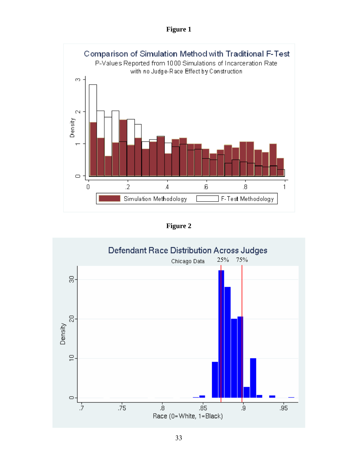**Figure 1** 



**Figure 2**

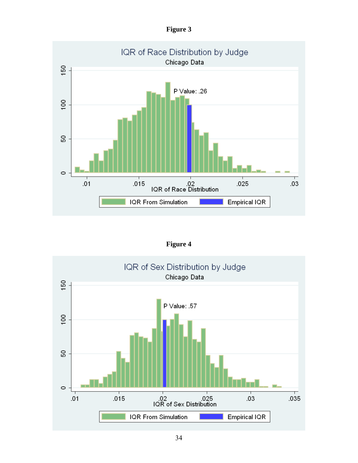| Ø111' |
|-------|
|-------|



**Figure 4** 

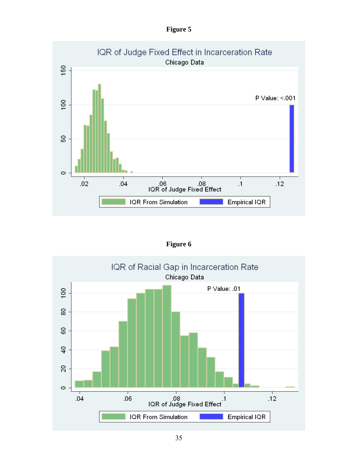| рш<br>г |  |
|---------|--|
|---------|--|



**Figure 6** 

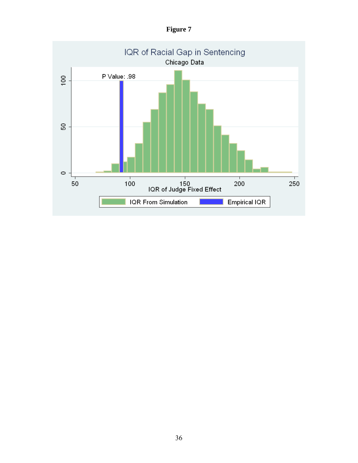**Figure 7** 

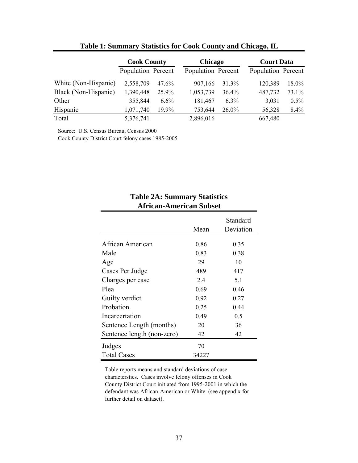|                      | <b>Cook County</b> |         | Chicago            |         | <b>Court Data</b>  |         |
|----------------------|--------------------|---------|--------------------|---------|--------------------|---------|
|                      | Population Percent |         | Population Percent |         | Population Percent |         |
| White (Non-Hispanic) | 2,558,709          | 47.6%   | 907,166            | 31.3%   | 120,389            | 18.0%   |
| Black (Non-Hispanic) | 1,390,448          | 25.9%   | 1,053,739          | 36.4%   | 487,732            | 73.1%   |
| Other                | 355,844            | $6.6\%$ | 181,467            | $6.3\%$ | 3,031              | $0.5\%$ |
| Hispanic             | 1,071,740          | 19.9%   | 753,644            | 26.0%   | 56,328             | 8.4%    |
| Total                | 5,376,741          |         | 2,896,016          |         | 667,480            |         |

## **Table 1: Summary Statistics for Cook County and Chicago, IL**

Source: U.S. Census Bureau, Census 2000

Cook County District Court felony cases 1985-2005

| <b>African-American Subset</b> |       |                       |  |  |  |  |
|--------------------------------|-------|-----------------------|--|--|--|--|
|                                | Mean  | Standard<br>Deviation |  |  |  |  |
| African American               | 0.86  | 0.35                  |  |  |  |  |
| Male                           | 0.83  | 0.38                  |  |  |  |  |
| Age                            | 29    | 10                    |  |  |  |  |
| Cases Per Judge                | 489   | 417                   |  |  |  |  |
| Charges per case               | 2.4   | 5.1                   |  |  |  |  |
| Plea                           | 0.69  | 0.46                  |  |  |  |  |
| Guilty verdict                 | 0.92  | 0.27                  |  |  |  |  |
| Probation                      | 0.25  | 0.44                  |  |  |  |  |
| Incarcertation                 | 0.49  | 0.5                   |  |  |  |  |
| Sentence Length (months)       | 20    | 36                    |  |  |  |  |
| Sentence length (non-zero)     | 42    | 42                    |  |  |  |  |
| Judges                         | 70    |                       |  |  |  |  |
| <b>Total Cases</b>             | 34227 |                       |  |  |  |  |

# **Table 2A: Summary Statistics**

Table reports means and standard deviations of case characterstics. Cases involve felony offenses in Cook County District Court initiated from 1995-2001 in which the defendant was African-American or White (see appendix for further detail on dataset).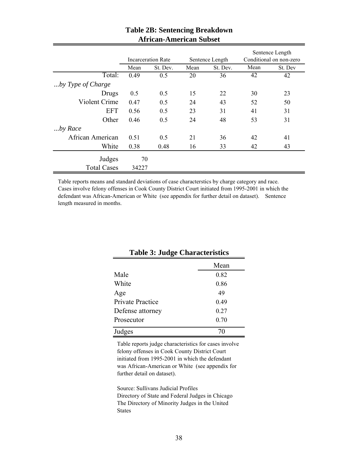|                    | <b>Incarceration Rate</b><br>Sentence Length |          | Sentence Length<br>Conditional on non-zero |          |      |         |
|--------------------|----------------------------------------------|----------|--------------------------------------------|----------|------|---------|
|                    | Mean                                         | St. Dev. | Mean                                       | St. Dev. | Mean | St. Dev |
| Total:             | 0.49                                         | 0.5      | 20                                         | 36       | 42   | 42      |
| by Type of Charge  |                                              |          |                                            |          |      |         |
| Drugs              | 0.5                                          | 0.5      | 15                                         | 22       | 30   | 23      |
| Violent Crime      | 0.47                                         | 0.5      | 24                                         | 43       | 52   | 50      |
| <b>EFT</b>         | 0.56                                         | 0.5      | 23                                         | 31       | 41   | 31      |
| Other              | 0.46                                         | 0.5      | 24                                         | 48       | 53   | 31      |
| by Race            |                                              |          |                                            |          |      |         |
| African American   | 0.51                                         | 0.5      | 21                                         | 36       | 42   | 41      |
| White              | 0.38                                         | 0.48     | 16                                         | 33       | 42   | 43      |
| Judges             | 70                                           |          |                                            |          |      |         |
| <b>Total Cases</b> | 34227                                        |          |                                            |          |      |         |

## **Table 2B: Sentencing Breakdown African-American Subset**

Table reports means and standard deviations of case characterstics by charge category and race. Cases involve felony offenses in Cook County District Court initiated from 1995-2001 in which the defendant was African-American or White (see appendix for further detail on dataset). Sentence length measured in months.

|                  | Mean |
|------------------|------|
| Male             | 0.82 |
| White            | 0.86 |
| Age              | 49   |
| Private Practice | 0.49 |
| Defense attorney | 0.27 |
| Prosecutor       | 0.70 |
| Judges           |      |

## **Table 3: Judge Characteristics**

Table reports judge characteristics for cases involve felony offenses in Cook County District Court initiated from 1995-2001 in which the defendant was African-American or White (see appendix for further detail on dataset).

Source: Sullivans Judicial Profiles Directory of State and Federal Judges in Chicago The Directory of Minority Judges in the United States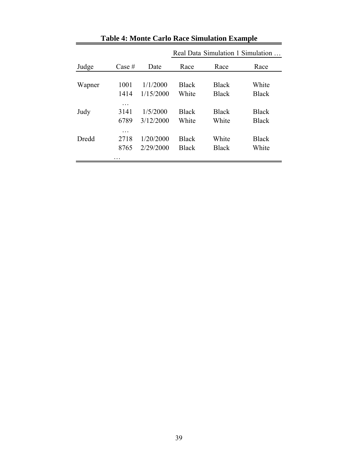|        |                                |                        |                              |                       | Real Data Simulation 1 Simulation |
|--------|--------------------------------|------------------------|------------------------------|-----------------------|-----------------------------------|
| Judge  | Case #                         | Date                   | Race                         | Race                  | Race                              |
| Wapner | 1001                           | 1/1/2000               | <b>Black</b>                 | <b>Black</b>          | White                             |
|        | 1414                           | 1/15/2000              | White                        | <b>Black</b>          | <b>Black</b>                      |
| Judy   | .<br>3141<br>6789              | 1/5/2000<br>3/12/2000  | <b>Black</b><br>White        | <b>Black</b><br>White | <b>Black</b><br><b>Black</b>      |
| Dredd  | .<br>2718<br>8765<br>$\ddotsc$ | 1/20/2000<br>2/29/2000 | <b>Black</b><br><b>Black</b> | White<br><b>Black</b> | <b>Black</b><br>White             |

**Table 4: Monte Carlo Race Simulation Example**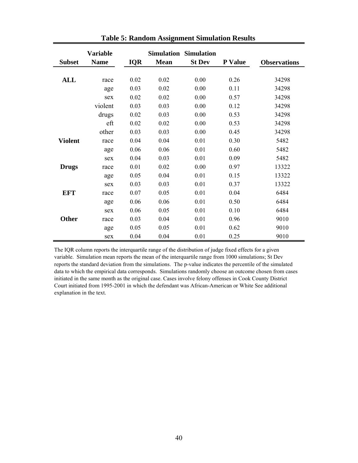| <b>Subset</b>  | <b>Variable</b><br><b>Name</b> | IQR  | <b>Mean</b> | <b>Simulation Simulation</b><br><b>St Dev</b> | P Value | <b>Observations</b> |
|----------------|--------------------------------|------|-------------|-----------------------------------------------|---------|---------------------|
|                |                                |      |             |                                               |         |                     |
| ALL            | race                           | 0.02 | 0.02        | 0.00                                          | 0.26    | 34298               |
|                | age                            | 0.03 | 0.02        | 0.00                                          | 0.11    | 34298               |
|                | sex                            | 0.02 | 0.02        | 0.00                                          | 0.57    | 34298               |
|                | violent                        | 0.03 | 0.03        | 0.00                                          | 0.12    | 34298               |
|                | drugs                          | 0.02 | 0.03        | 0.00                                          | 0.53    | 34298               |
|                | eft                            | 0.02 | 0.02        | 0.00                                          | 0.53    | 34298               |
|                | other                          | 0.03 | 0.03        | 0.00                                          | 0.45    | 34298               |
| <b>Violent</b> | race                           | 0.04 | 0.04        | 0.01                                          | 0.30    | 5482                |
|                | age                            | 0.06 | 0.06        | 0.01                                          | 0.60    | 5482                |
|                | sex                            | 0.04 | 0.03        | 0.01                                          | 0.09    | 5482                |
| <b>Drugs</b>   | race                           | 0.01 | 0.02        | 0.00                                          | 0.97    | 13322               |
|                | age                            | 0.05 | 0.04        | 0.01                                          | 0.15    | 13322               |
|                | sex                            | 0.03 | 0.03        | 0.01                                          | 0.37    | 13322               |
| <b>EFT</b>     | race                           | 0.07 | 0.05        | 0.01                                          | 0.04    | 6484                |
|                | age                            | 0.06 | 0.06        | 0.01                                          | 0.50    | 6484                |
|                | sex                            | 0.06 | 0.05        | 0.01                                          | 0.10    | 6484                |
| <b>Other</b>   | race                           | 0.03 | 0.04        | 0.01                                          | 0.96    | 9010                |
|                | age                            | 0.05 | 0.05        | 0.01                                          | 0.62    | 9010                |
|                | sex                            | 0.04 | 0.04        | 0.01                                          | 0.25    | 9010                |

**Table 5: Random Assignment Simulation Results** 

The IQR column reports the interquartile range of the distribution of judge fixed effects for a given variable. Simulation mean reports the mean of the interquartile range from 1000 simulations; St Dev reports the standard deviation from the simulations. The p-value indicates the percentile of the simulated data to which the empirical data corresponds. Simulations randomly choose an outcome chosen from cases initiated in the same month as the original case. Cases involve felony offenses in Cook County District Court initiated from 1995-2001 in which the defendant was African-American or White See additional explanation in the text.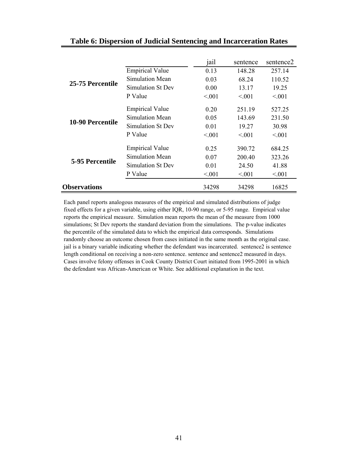|                     |                        | jail   | sentence | sentence <sub>2</sub> |
|---------------------|------------------------|--------|----------|-----------------------|
| 25-75 Percentile    | <b>Empirical Value</b> | 0.13   | 148.28   | 257.14                |
|                     | Simulation Mean        | 0.03   | 68.24    | 110.52                |
|                     | Simulation St Dev      | 0.00   | 13.17    | 19.25                 |
|                     | P Value                | < 001  | < 0.01   | < 0.01                |
| 10-90 Percentile    | <b>Empirical Value</b> | 0.20   | 251.19   | 527.25                |
|                     | Simulation Mean        | 0.05   | 143.69   | 231.50                |
|                     | Simulation St Dev      | 0.01   | 19.27    | 30.98                 |
|                     | P Value                | < 0.01 | < 0.01   | < 0.01                |
| 5-95 Percentile     | <b>Empirical Value</b> | 0.25   | 390.72   | 684.25                |
|                     | Simulation Mean        | 0.07   | 200.40   | 323.26                |
|                     | Simulation St Dev      | 0.01   | 24.50    | 41.88                 |
|                     | P Value                | < 001  | < 0.01   | < 0.01                |
| <b>Observations</b> |                        | 34298  | 34298    | 16825                 |

## **Table 6: Dispersion of Judicial Sentencing and Incarceration Rates**

Each panel reports analogous measures of the empirical and simulated distributions of judge fixed effects for a given variable, using either IQR, 10-90 range, or 5-95 range. Empirical value reports the empirical measure. Simulation mean reports the mean of the measure from 1000 simulations; St Dev reports the standard deviation from the simulations. The p-value indicates the percentile of the simulated data to which the empirical data corresponds. Simulations randomly choose an outcome chosen from cases initiated in the same month as the original case. jail is a binary variable indicating whether the defendant was incarcerated. sentence2 is sentence length conditional on receiving a non-zero sentence. sentence and sentence2 measured in days. Cases involve felony offenses in Cook County District Court initiated from 1995-2001 in which the defendant was African-American or White. See additional explanation in the text.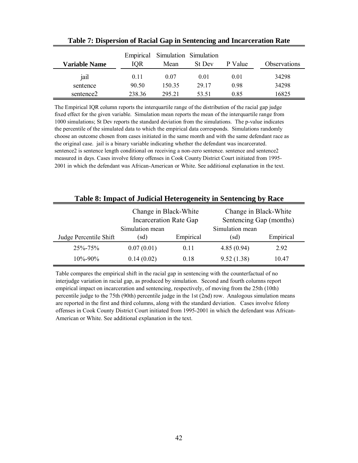| <b>Variable Name</b> | IOR    | Empirical Simulation Simulation<br>Mean | St Dev | P Value | Observations |
|----------------------|--------|-----------------------------------------|--------|---------|--------------|
| jail                 | 0.11   | 0.07                                    | 0.01   | 0.01    | 34298        |
| sentence             | 90.50  | 150 35                                  | 29.17  | 0.98    | 34298        |
| sentence2            | 238.36 | 295 21                                  | 53.51  | 0.85    | 16825        |

**Table 7: Dispersion of Racial Gap in Sentencing and Incarceration Rate**

The Empirical IQR column reports the interquartile range of the distribution of the racial gap judge fixed effect for the given variable. Simulation mean reports the mean of the interquartile range from 1000 simulations; St Dev reports the standard deviation from the simulations. The p-value indicates the percentile of the simulated data to which the empirical data corresponds. Simulations randomly choose an outcome chosen from cases initiated in the same month and with the same defendant race as the original case. jail is a binary variable indicating whether the defendant was incarcerated. sentence2 is sentence length conditional on receiving a non-zero sentence. sentence and sentence2 measured in days. Cases involve felony offenses in Cook County District Court initiated from 1995- 2001 in which the defendant was African-American or White. See additional explanation in the text.

| Table 8: Impact of Judicial Heterogeneity in Sentencing by Race |                                                        |           |                                                  |           |  |  |
|-----------------------------------------------------------------|--------------------------------------------------------|-----------|--------------------------------------------------|-----------|--|--|
|                                                                 | Change in Black-White<br><b>Incarceration Rate Gap</b> |           | Change in Black-White<br>Sentencing Gap (months) |           |  |  |
|                                                                 | Simulation mean                                        |           | Simulation mean                                  |           |  |  |
| Judge Percentile Shift                                          | (sd)                                                   | Empirical | (sd)                                             | Empirical |  |  |
| $25\% - 75\%$                                                   | 0.07(0.01)                                             | 0.11      | 4.85(0.94)                                       | 2.92      |  |  |
| $10\% - 90\%$                                                   | 0.14(0.02)                                             | 0.18      | 9.52(1.38)                                       | 10.47     |  |  |

Table compares the empirical shift in the racial gap in sentencing with the counterfactual of no interjudge variation in racial gap, as produced by simulation. Second and fourth columns report empirical impact on incarceration and sentencing, respectively, of moving from the 25th (10th) percentile judge to the 75th (90th) percentile judge in the 1st (2nd) row. Analogous simulation means are reported in the first and third columns, along with the standard deviation. Cases involve felony offenses in Cook County District Court initiated from 1995-2001 in which the defendant was African-American or White. See additional explanation in the text.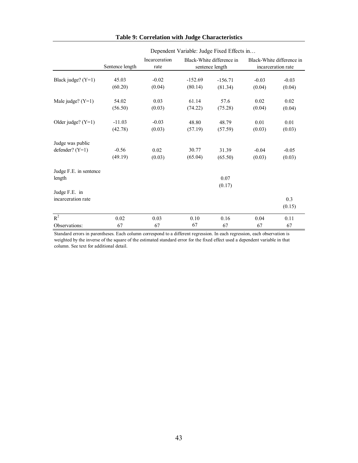|                        | $D$ Condent variable. Judge I fact Effects in |                       |                                              |           |                                                 |         |  |
|------------------------|-----------------------------------------------|-----------------------|----------------------------------------------|-----------|-------------------------------------------------|---------|--|
|                        | Sentence length                               | Incarceration<br>rate | Black-White difference in<br>sentence length |           | Black-White difference in<br>incarceration rate |         |  |
| Black judge? $(Y=1)$   | 45.03                                         | $-0.02$               | $-152.69$                                    | $-156.71$ | $-0.03$                                         | $-0.03$ |  |
|                        | (60.20)                                       | (0.04)                | (80.14)                                      | (81.34)   | (0.04)                                          | (0.04)  |  |
| Male judge? $(Y=1)$    | 54.02                                         | 0.03                  | 61.14                                        | 57.6      | 0.02                                            | 0.02    |  |
|                        | (56.50)                                       | (0.03)                | (74.22)                                      | (75.28)   | (0.04)                                          | (0.04)  |  |
| Older judge? $(Y=1)$   | $-11.03$                                      | $-0.03$               | 48.80                                        | 48.79     | 0.01                                            | 0.01    |  |
|                        | (42.78)                                       | (0.03)                | (57.19)                                      | (57.59)   | (0.03)                                          | (0.03)  |  |
| Judge was public       |                                               |                       |                                              |           |                                                 |         |  |
| defender? $(Y=1)$      | $-0.56$                                       | 0.02                  | 30.77                                        | 31.39     | $-0.04$                                         | $-0.05$ |  |
|                        | (49.19)                                       | (0.03)                | (65.04)                                      | (65.50)   | (0.03)                                          | (0.03)  |  |
| Judge F.E. in sentence |                                               |                       |                                              |           |                                                 |         |  |
| length                 |                                               |                       |                                              | 0.07      |                                                 |         |  |
|                        |                                               |                       |                                              | (0.17)    |                                                 |         |  |
| Judge F.E. in          |                                               |                       |                                              |           |                                                 |         |  |
| incarceration rate     |                                               |                       |                                              |           |                                                 | 0.3     |  |
|                        |                                               |                       |                                              |           |                                                 | (0.15)  |  |
| $R^2$                  | 0.02                                          | 0.03                  | 0.10                                         | 0.16      | 0.04                                            | 0.11    |  |
| Observations:          | 67                                            | 67                    | 67                                           | 67        | 67                                              | 67      |  |

#### **Table 9: Correlation with Judge Characteristics**

Dependent Variable: Judge Fixed Effects in…

Standard errors in parentheses. Each column correspond to a different regression. In each regression, each observation is weighted by the inverse of the square of the estimated standard error for the fixed effect used a dependent variable in that column. See text for additional detail.